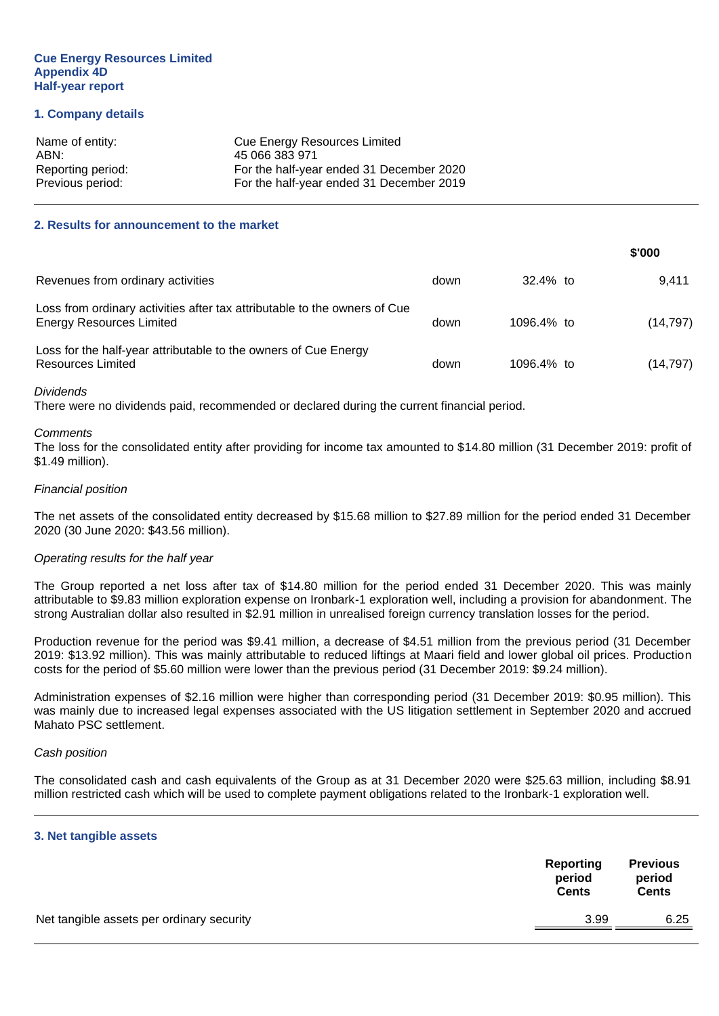#### **Cue Energy Resources Limited Appendix 4D Half-year report**

#### **1. Company details**

| Name of entity:   | <b>Cue Energy Resources Limited</b>      |
|-------------------|------------------------------------------|
| ABN:              | 45 066 383 971                           |
| Reporting period: | For the half-year ended 31 December 2020 |
| Previous period:  | For the half-year ended 31 December 2019 |

#### **2. Results for announcement to the market**

|                                                                                                              |      |             | \$'000    |
|--------------------------------------------------------------------------------------------------------------|------|-------------|-----------|
| Revenues from ordinary activities                                                                            | down | $32.4\%$ to | 9.411     |
| Loss from ordinary activities after tax attributable to the owners of Cue<br><b>Energy Resources Limited</b> | down | 1096.4% to  | (14, 797) |
| Loss for the half-year attributable to the owners of Cue Energy<br>Resources Limited                         | down | 1096.4% to  | (14, 797) |

#### *Dividends*

There were no dividends paid, recommended or declared during the current financial period.

#### *Comments*

The loss for the consolidated entity after providing for income tax amounted to \$14.80 million (31 December 2019: profit of \$1.49 million).

#### *Financial position*

The net assets of the consolidated entity decreased by \$15.68 million to \$27.89 million for the period ended 31 December 2020 (30 June 2020: \$43.56 million).

#### *Operating results for the half year*

The Group reported a net loss after tax of \$14.80 million for the period ended 31 December 2020. This was mainly attributable to \$9.83 million exploration expense on Ironbark-1 exploration well, including a provision for abandonment. The strong Australian dollar also resulted in \$2.91 million in unrealised foreign currency translation losses for the period.

Production revenue for the period was \$9.41 million, a decrease of \$4.51 million from the previous period (31 December 2019: \$13.92 million). This was mainly attributable to reduced liftings at Maari field and lower global oil prices. Production costs for the period of \$5.60 million were lower than the previous period (31 December 2019: \$9.24 million).

Administration expenses of \$2.16 million were higher than corresponding period (31 December 2019: \$0.95 million). This was mainly due to increased legal expenses associated with the US litigation settlement in September 2020 and accrued Mahato PSC settlement.

#### *Cash position*

The consolidated cash and cash equivalents of the Group as at 31 December 2020 were \$25.63 million, including \$8.91 million restricted cash which will be used to complete payment obligations related to the Ironbark-1 exploration well.

#### **3. Net tangible assets**

|                                           | Reporting<br>period<br><b>Cents</b> | <b>Previous</b><br>period<br><b>Cents</b> |
|-------------------------------------------|-------------------------------------|-------------------------------------------|
| Net tangible assets per ordinary security | 3.99                                | 6.25                                      |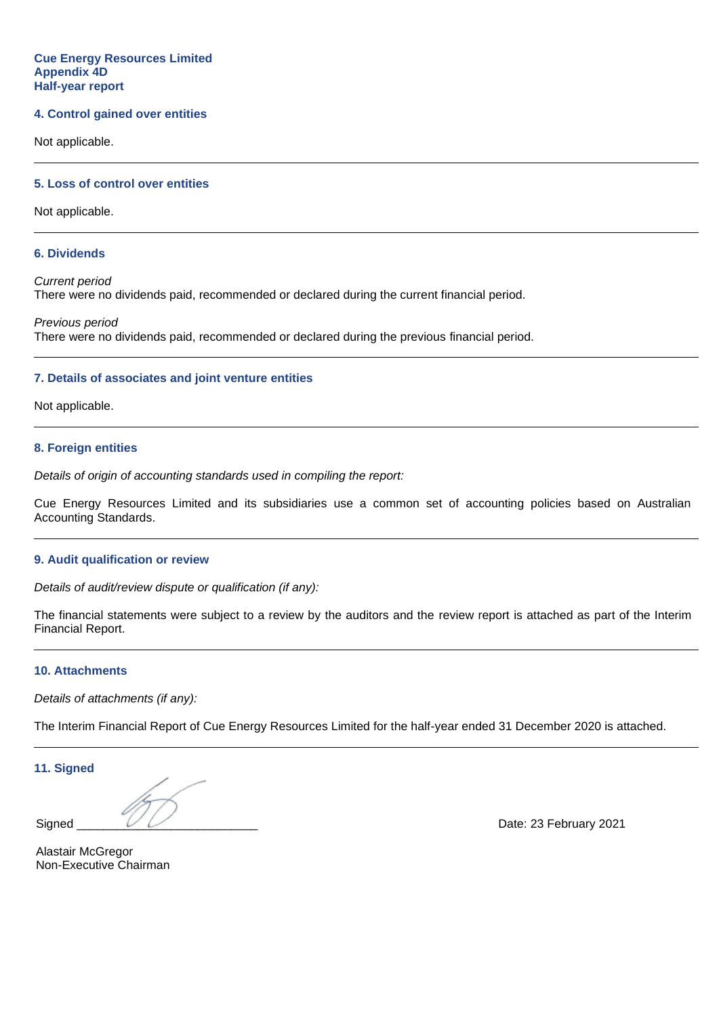#### **Cue Energy Resources Limited Appendix 4D Half-year report**

#### **4. Control gained over entities**

Not applicable.

#### **5. Loss of control over entities**

Not applicable.

#### **6. Dividends**

*Current period* There were no dividends paid, recommended or declared during the current financial period.

*Previous period* There were no dividends paid, recommended or declared during the previous financial period.

#### **7. Details of associates and joint venture entities**

Not applicable.

#### **8. Foreign entities**

*Details of origin of accounting standards used in compiling the report:*

Cue Energy Resources Limited and its subsidiaries use a common set of accounting policies based on Australian Accounting Standards.

#### **9. Audit qualification or review**

*Details of audit/review dispute or qualification (if any):*

The financial statements were subject to a review by the auditors and the review report is attached as part of the Interim Financial Report.

#### **10. Attachments**

*Details of attachments (if any):*

The Interim Financial Report of Cue Energy Resources Limited for the half-year ended 31 December 2020 is attached.

**11. Signed**

Signed  $\overline{\smash{\bigcup_{\omega\in\mathbb{R}^3}\varphi_{\omega}}}$  Date: 23 February 2021

Alastair McGregor Non-Executive Chairman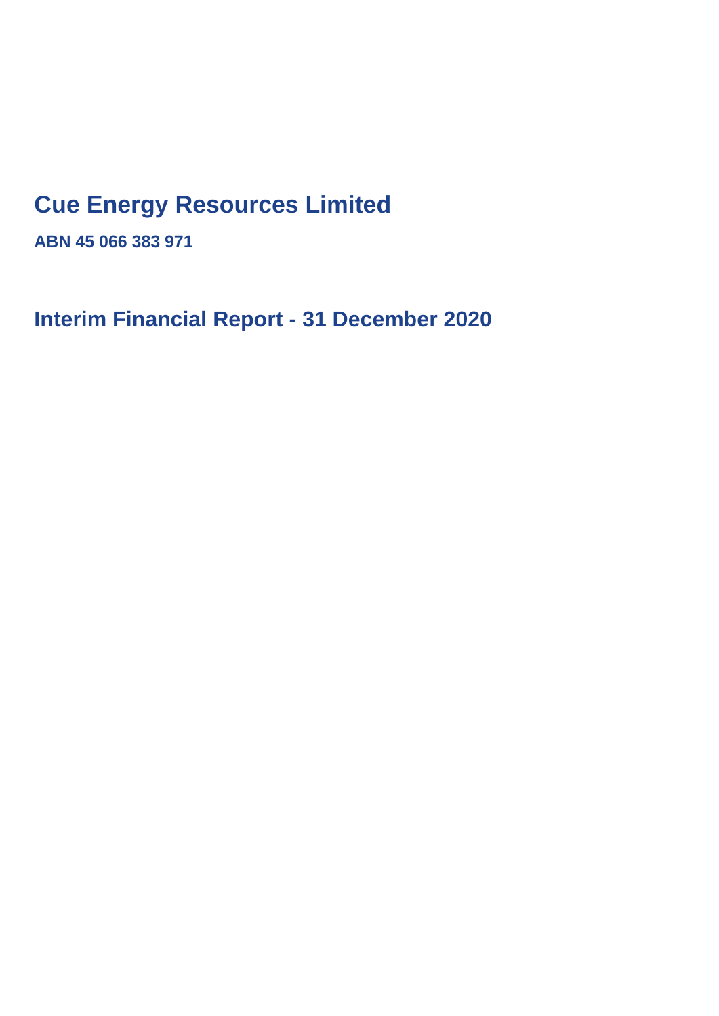## **Cue Energy Resources Limited**

**ABN 45 066 383 971**

**Interim Financial Report - 31 December 2020**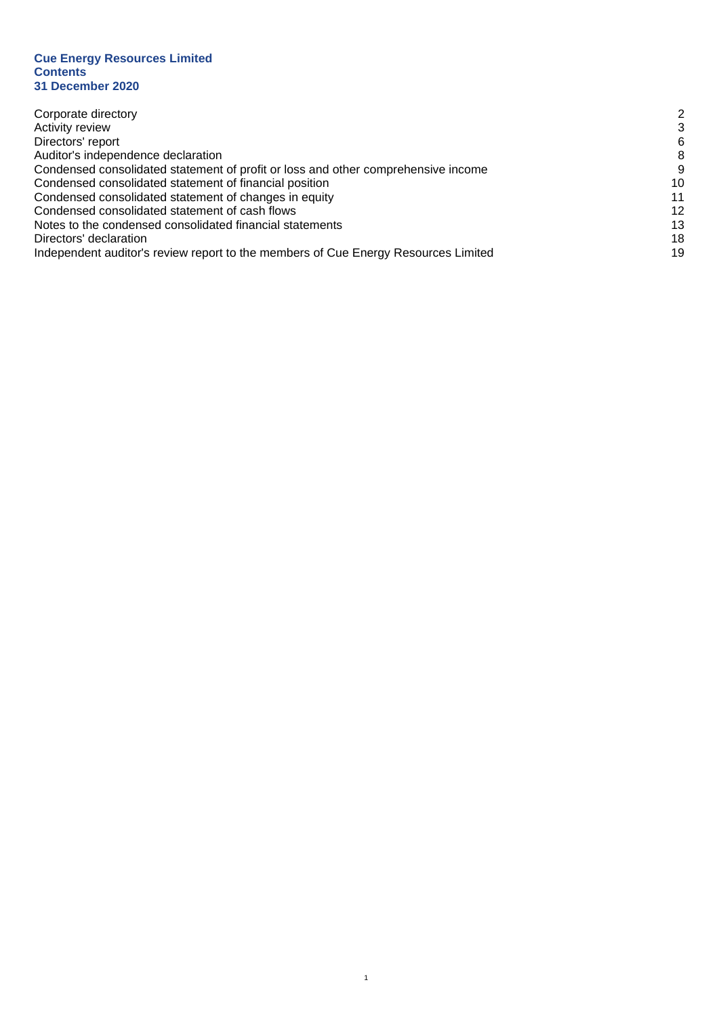#### **Cue Energy Resources Limited Contents 31 December 2020**

| Corporate directory                                                                | 2  |
|------------------------------------------------------------------------------------|----|
| <b>Activity review</b>                                                             | 3  |
| Directors' report                                                                  | 6  |
| Auditor's independence declaration                                                 | 8  |
| Condensed consolidated statement of profit or loss and other comprehensive income  | 9  |
| Condensed consolidated statement of financial position                             | 10 |
| Condensed consolidated statement of changes in equity                              | 11 |
| Condensed consolidated statement of cash flows                                     | 12 |
| Notes to the condensed consolidated financial statements                           | 13 |
| Directors' declaration                                                             | 18 |
| Independent auditor's review report to the members of Cue Energy Resources Limited | 19 |

1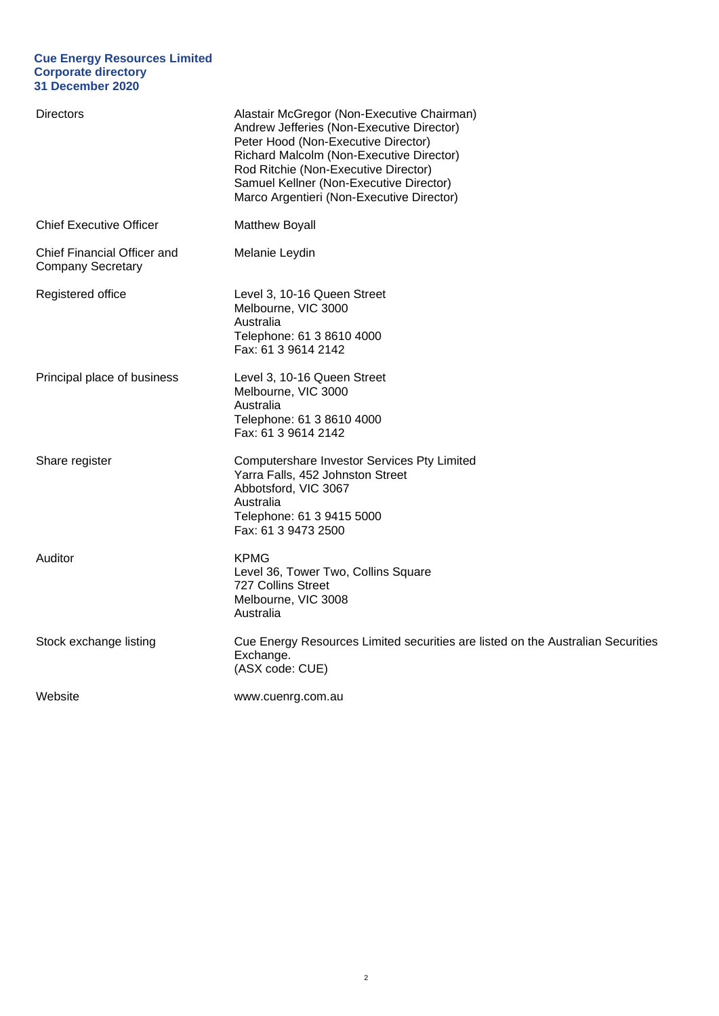#### **Cue Energy Resources Limited Corporate directory 31 December 2020**

| <b>Directors</b>                                        | Alastair McGregor (Non-Executive Chairman)<br>Andrew Jefferies (Non-Executive Director)<br>Peter Hood (Non-Executive Director)<br>Richard Malcolm (Non-Executive Director)<br>Rod Ritchie (Non-Executive Director)<br>Samuel Kellner (Non-Executive Director)<br>Marco Argentieri (Non-Executive Director) |
|---------------------------------------------------------|------------------------------------------------------------------------------------------------------------------------------------------------------------------------------------------------------------------------------------------------------------------------------------------------------------|
| <b>Chief Executive Officer</b>                          | <b>Matthew Boyall</b>                                                                                                                                                                                                                                                                                      |
| Chief Financial Officer and<br><b>Company Secretary</b> | Melanie Leydin                                                                                                                                                                                                                                                                                             |
| Registered office                                       | Level 3, 10-16 Queen Street<br>Melbourne, VIC 3000<br>Australia<br>Telephone: 61 3 8610 4000<br>Fax: 61 3 9614 2142                                                                                                                                                                                        |
| Principal place of business                             | Level 3, 10-16 Queen Street<br>Melbourne, VIC 3000<br>Australia<br>Telephone: 61 3 8610 4000<br>Fax: 61 3 9614 2142                                                                                                                                                                                        |
| Share register                                          | Computershare Investor Services Pty Limited<br>Yarra Falls, 452 Johnston Street<br>Abbotsford, VIC 3067<br>Australia<br>Telephone: 61 3 9415 5000<br>Fax: 61 3 9473 2500                                                                                                                                   |
| Auditor                                                 | <b>KPMG</b><br>Level 36, Tower Two, Collins Square<br>727 Collins Street<br>Melbourne, VIC 3008<br>Australia                                                                                                                                                                                               |
| Stock exchange listing                                  | Cue Energy Resources Limited securities are listed on the Australian Securities<br>Exchange.<br>(ASX code: CUE)                                                                                                                                                                                            |
| Website                                                 | www.cuenrg.com.au                                                                                                                                                                                                                                                                                          |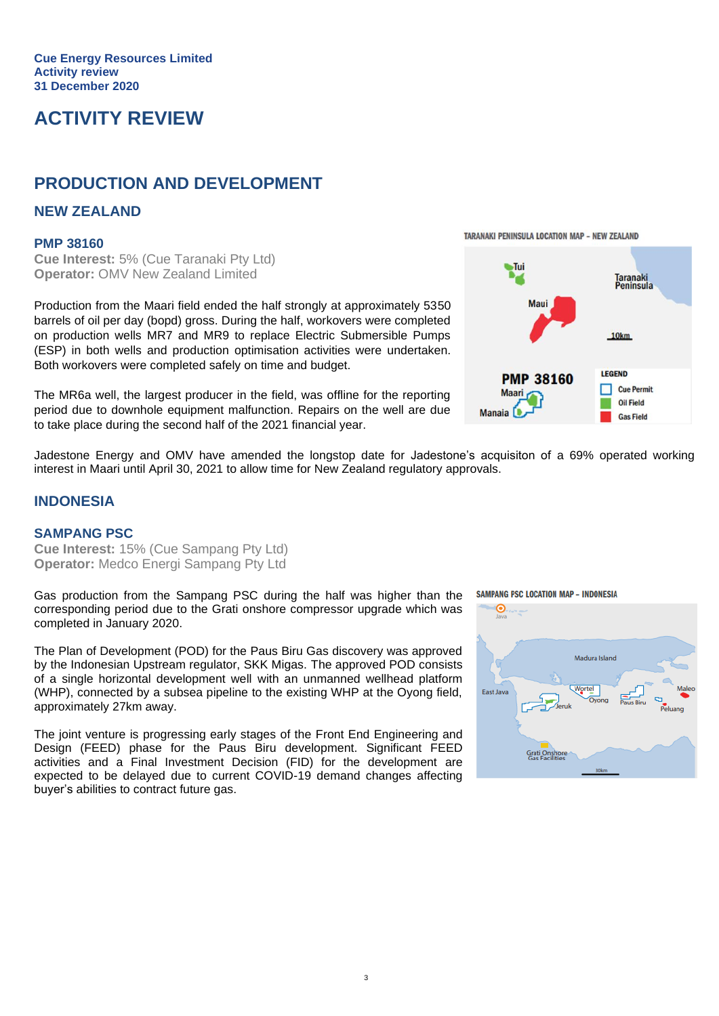## **ACTIVITY REVIEW**

## **PRODUCTION AND DEVELOPMENT**

#### **NEW ZEALAND**

#### **PMP 38160**

**Cue Interest:** 5% (Cue Taranaki Pty Ltd) **Operator:** OMV New Zealand Limited

Production from the Maari field ended the half strongly at approximately 5350 barrels of oil per day (bopd) gross. During the half, workovers were completed on production wells MR7 and MR9 to replace Electric Submersible Pumps (ESP) in both wells and production optimisation activities were undertaken. Both workovers were completed safely on time and budget.

The MR6a well, the largest producer in the field, was offline for the reporting period due to downhole equipment malfunction. Repairs on the well are due to take place during the second half of the 2021 financial year.

**PMP 38160** 

Jadestone Energy and OMV have amended the longstop date for Jadestone's acquisiton of a 69% operated working interest in Maari until April 30, 2021 to allow time for New Zealand regulatory approvals.

#### **INDONESIA**

#### **SAMPANG PSC**

**Cue Interest:** 15% (Cue Sampang Pty Ltd) **Operator:** Medco Energi Sampang Pty Ltd

Gas production from the Sampang PSC during the half was higher than the corresponding period due to the Grati onshore compressor upgrade which was completed in January 2020.

The Plan of Development (POD) for the Paus Biru Gas discovery was approved by the Indonesian Upstream regulator, SKK Migas. The approved POD consists of a single horizontal development well with an unmanned wellhead platform (WHP), connected by a subsea pipeline to the existing WHP at the Oyong field, approximately 27km away.

The joint venture is progressing early stages of the Front End Engineering and Design (FEED) phase for the Paus Biru development. Significant FEED activities and a Final Investment Decision (FID) for the development are expected to be delayed due to current COVID-19 demand changes affecting buyer's abilities to contract future gas.

**SAMPANG PSC LOCATION MAP - INDONESIA** 





TARANAKI PENINSULA LOCATION MAP - NEW ZEALAND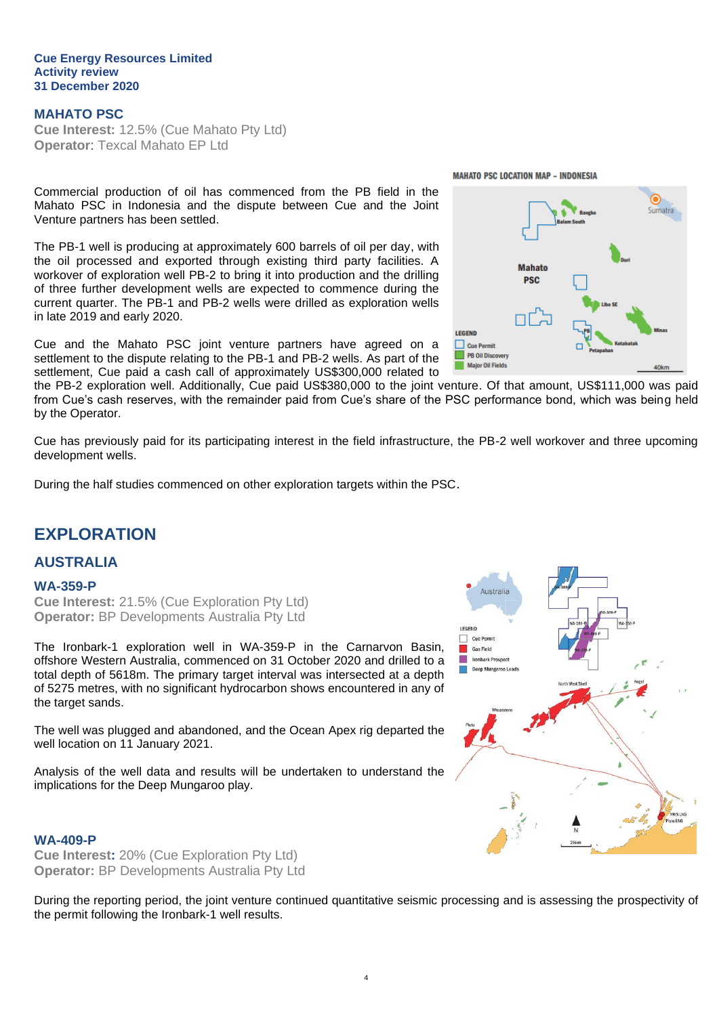#### **Cue Energy Resources Limited Activity review 31 December 2020**

#### **MAHATO PSC**

**Cue Interest:** 12.5% (Cue Mahato Pty Ltd) **Operator**: Texcal Mahato EP Ltd

Commercial production of oil has commenced from the PB field in the Mahato PSC in Indonesia and the dispute between Cue and the Joint Venture partners has been settled.

The PB-1 well is producing at approximately 600 barrels of oil per day, with the oil processed and exported through existing third party facilities. A workover of exploration well PB-2 to bring it into production and the drilling of three further development wells are expected to commence during the current quarter. The PB-1 and PB-2 wells were drilled as exploration wells in late 2019 and early 2020.

Cue and the Mahato PSC joint venture partners have agreed on a settlement to the dispute relating to the PB-1 and PB-2 wells. As part of the settlement, Cue paid a cash call of approximately US\$300,000 related to

the PB-2 exploration well. Additionally, Cue paid US\$380,000 to the joint venture. Of that amount, US\$111,000 was paid from Cue's cash reserves, with the remainder paid from Cue's share of the PSC performance bond, which was being held by the Operator.

Cue has previously paid for its participating interest in the field infrastructure, the PB-2 well workover and three upcoming development wells.

During the half studies commenced on other exploration targets within the PSC.

## **EXPLORATION**

#### **AUSTRALIA**

#### **WA-359-P**

**Cue Interest:** 21.5% (Cue Exploration Pty Ltd) **Operator:** BP Developments Australia Pty Ltd

The Ironbark-1 exploration well in WA-359-P in the Carnarvon Basin, offshore Western Australia, commenced on 31 October 2020 and drilled to a total depth of 5618m. The primary target interval was intersected at a depth of 5275 metres, with no significant hydrocarbon shows encountered in any of the target sands.

The well was plugged and abandoned, and the Ocean Apex rig departed the well location on 11 January 2021.

Analysis of the well data and results will be undertaken to understand the implications for the Deep Mungaroo play.

#### **WA-409-P**

**Cue Interest:** 20% (Cue Exploration Pty Ltd) **Operator:** BP Developments Australia Pty Ltd

During the reporting period, the joint venture continued quantitative seismic processing and is assessing the prospectivity of the permit following the Ironbark-1 well results.

4



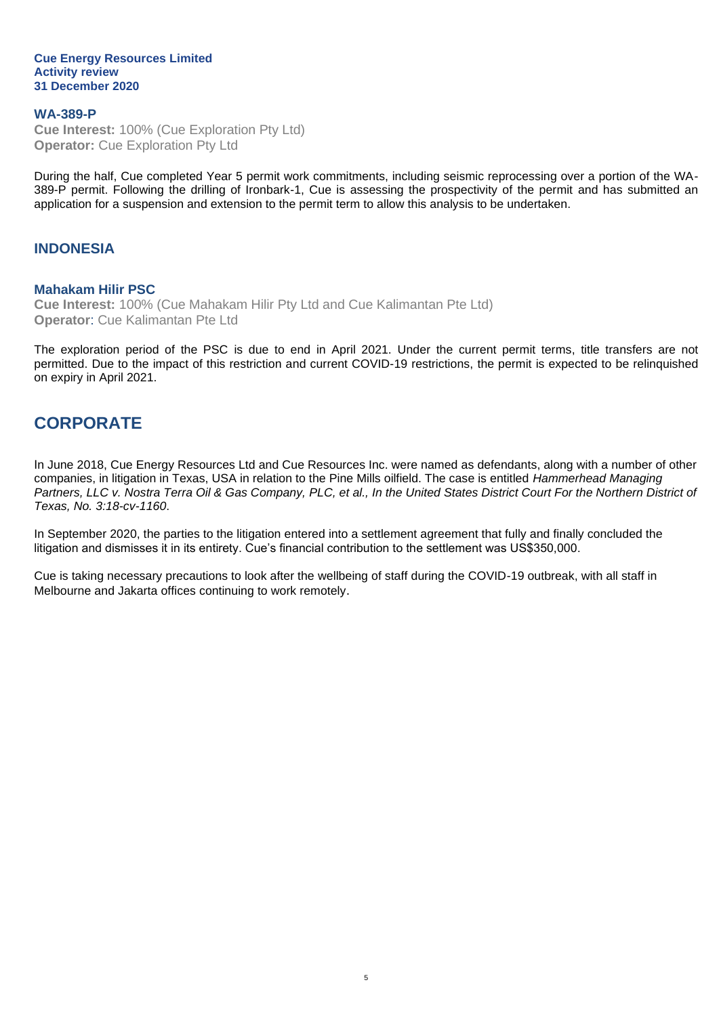#### **Cue Energy Resources Limited Activity review 31 December 2020**

#### **WA-389-P Cue Interest:** 100% (Cue Exploration Pty Ltd) **Operator:** Cue Exploration Pty Ltd

During the half, Cue completed Year 5 permit work commitments, including seismic reprocessing over a portion of the WA-389-P permit. Following the drilling of Ironbark-1, Cue is assessing the prospectivity of the permit and has submitted an application for a suspension and extension to the permit term to allow this analysis to be undertaken.

#### **INDONESIA**

#### **Mahakam Hilir PSC**

**Cue Interest:** 100% (Cue Mahakam Hilir Pty Ltd and Cue Kalimantan Pte Ltd) **Operator**: Cue Kalimantan Pte Ltd

The exploration period of the PSC is due to end in April 2021. Under the current permit terms, title transfers are not permitted. Due to the impact of this restriction and current COVID-19 restrictions, the permit is expected to be relinquished on expiry in April 2021.

## **CORPORATE**

In June 2018, Cue Energy Resources Ltd and Cue Resources Inc. were named as defendants, along with a number of other companies, in litigation in Texas, USA in relation to the Pine Mills oilfield. The case is entitled *Hammerhead Managing Partners, LLC v. Nostra Terra Oil & Gas Company, PLC, et al., In the United States District Court For the Northern District of Texas, No. 3:18-cv-1160*.

In September 2020, the parties to the litigation entered into a settlement agreement that fully and finally concluded the litigation and dismisses it in its entirety. Cue's financial contribution to the settlement was US\$350,000.

Cue is taking necessary precautions to look after the wellbeing of staff during the COVID-19 outbreak, with all staff in Melbourne and Jakarta offices continuing to work remotely.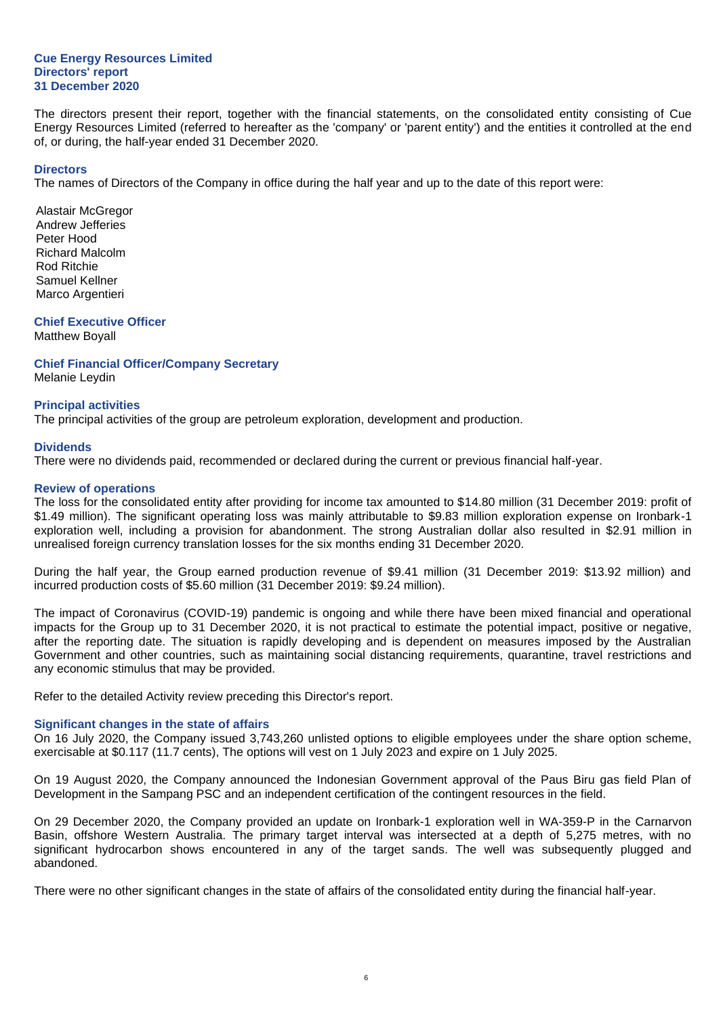#### **Cue Energy Resources Limited Directors' report 31 December 2020**

The directors present their report, together with the financial statements, on the consolidated entity consisting of Cue Energy Resources Limited (referred to hereafter as the 'company' or 'parent entity') and the entities it controlled at the end of, or during, the half-year ended 31 December 2020.

#### **Directors**

The names of Directors of the Company in office during the half year and up to the date of this report were:

Alastair McGregor Andrew Jefferies Peter Hood Richard Malcolm Rod Ritchie Samuel Kellner Marco Argentieri

#### **Chief Executive Officer**

Matthew Boyall

**Chief Financial Officer/Company Secretary** Melanie Leydin

#### **Principal activities**

The principal activities of the group are petroleum exploration, development and production.

#### **Dividends**

There were no dividends paid, recommended or declared during the current or previous financial half-year.

#### **Review of operations**

The loss for the consolidated entity after providing for income tax amounted to \$14.80 million (31 December 2019: profit of \$1.49 million). The significant operating loss was mainly attributable to \$9.83 million exploration expense on Ironbark-1 exploration well, including a provision for abandonment. The strong Australian dollar also resulted in \$2.91 million in unrealised foreign currency translation losses for the six months ending 31 December 2020.

During the half year, the Group earned production revenue of \$9.41 million (31 December 2019: \$13.92 million) and incurred production costs of \$5.60 million (31 December 2019: \$9.24 million).

The impact of Coronavirus (COVID-19) pandemic is ongoing and while there have been mixed financial and operational impacts for the Group up to 31 December 2020, it is not practical to estimate the potential impact, positive or negative, after the reporting date. The situation is rapidly developing and is dependent on measures imposed by the Australian Government and other countries, such as maintaining social distancing requirements, quarantine, travel restrictions and any economic stimulus that may be provided.

Refer to the detailed Activity review preceding this Director's report.

#### **Significant changes in the state of affairs**

On 16 July 2020, the Company issued 3,743,260 unlisted options to eligible employees under the share option scheme, exercisable at \$0.117 (11.7 cents), The options will vest on 1 July 2023 and expire on 1 July 2025.

On 19 August 2020, the Company announced the Indonesian Government approval of the Paus Biru gas field Plan of Development in the Sampang PSC and an independent certification of the contingent resources in the field.

On 29 December 2020, the Company provided an update on Ironbark-1 exploration well in WA-359-P in the Carnarvon Basin, offshore Western Australia. The primary target interval was intersected at a depth of 5,275 metres, with no significant hydrocarbon shows encountered in any of the target sands. The well was subsequently plugged and abandoned.

There were no other significant changes in the state of affairs of the consolidated entity during the financial half-year.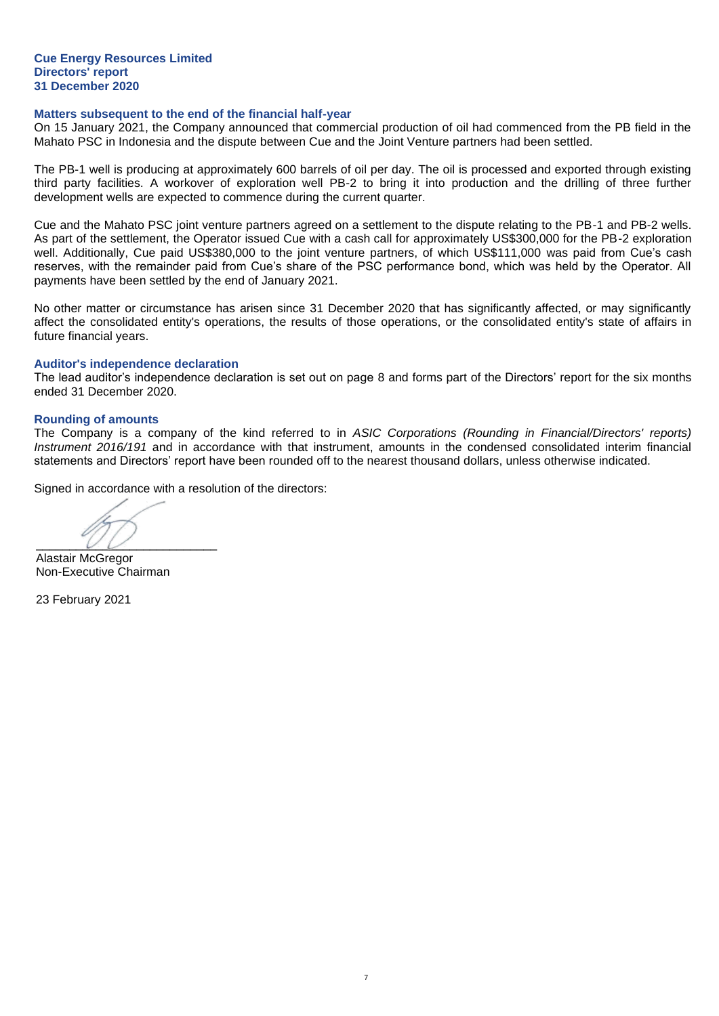#### **Cue Energy Resources Limited Directors' report 31 December 2020**

#### **Matters subsequent to the end of the financial half-year**

On 15 January 2021, the Company announced that commercial production of oil had commenced from the PB field in the Mahato PSC in Indonesia and the dispute between Cue and the Joint Venture partners had been settled.

The PB-1 well is producing at approximately 600 barrels of oil per day. The oil is processed and exported through existing third party facilities. A workover of exploration well PB-2 to bring it into production and the drilling of three further development wells are expected to commence during the current quarter.

Cue and the Mahato PSC joint venture partners agreed on a settlement to the dispute relating to the PB-1 and PB-2 wells. As part of the settlement, the Operator issued Cue with a cash call for approximately US\$300,000 for the PB-2 exploration well. Additionally, Cue paid US\$380,000 to the joint venture partners, of which US\$111,000 was paid from Cue's cash reserves, with the remainder paid from Cue's share of the PSC performance bond, which was held by the Operator. All payments have been settled by the end of January 2021.

No other matter or circumstance has arisen since 31 December 2020 that has significantly affected, or may significantly affect the consolidated entity's operations, the results of those operations, or the consolidated entity's state of affairs in future financial years.

#### **Auditor's independence declaration**

The lead auditor's independence declaration is set out on page 8 and forms part of the Directors' report for the six months ended 31 December 2020.

#### **Rounding of amounts**

The Company is a company of the kind referred to in *ASIC Corporations (Rounding in Financial/Directors' reports) Instrument 2016/191* and in accordance with that instrument, amounts in the condensed consolidated interim financial statements and Directors' report have been rounded off to the nearest thousand dollars, unless otherwise indicated.

Signed in accordance with a resolution of the directors:

 $\overline{\phantom{a}}$ 

Alastair McGregor Non-Executive Chairman

23 February 2021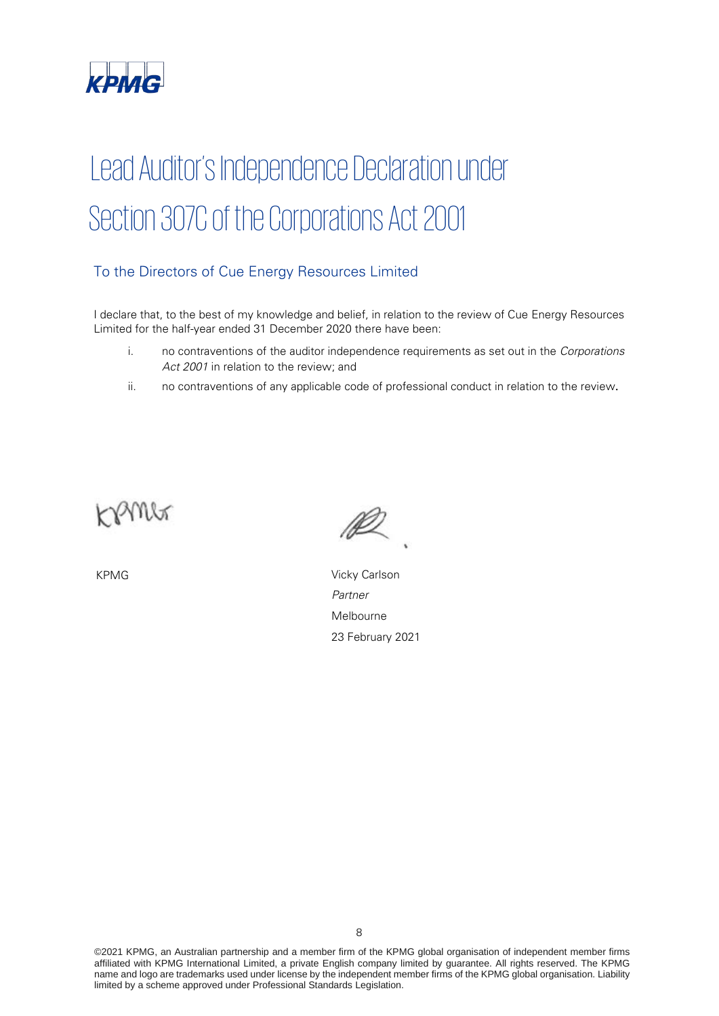

# Lead Auditor's Independence Declaration under Section 307C of the Corporations Act 2001

### To the Directors of Cue Energy Resources Limited

I declare that, to the best of my knowledge and belief, in relation to the review of Cue Energy Resources Limited for the half-year ended 31 December 2020 there have been:

- i. no contraventions of the auditor independence requirements as set out in the Corporations Act 2001 in relation to the review; and
- ii. no contraventions of any applicable code of professional conduct in relation to the review.



KPMG Vicky Carlson Partner Melbourne 23 February 2021

©2021 KPMG, an Australian partnership and a member firm of the KPMG global organisation of independent member firms affiliated with KPMG International Limited, a private English company limited by guarantee. All rights reserved. The KPMG name and logo are trademarks used under license by the independent member firms of the KPMG global organisation. Liability limited by a scheme approved under Professional Standards Legislation.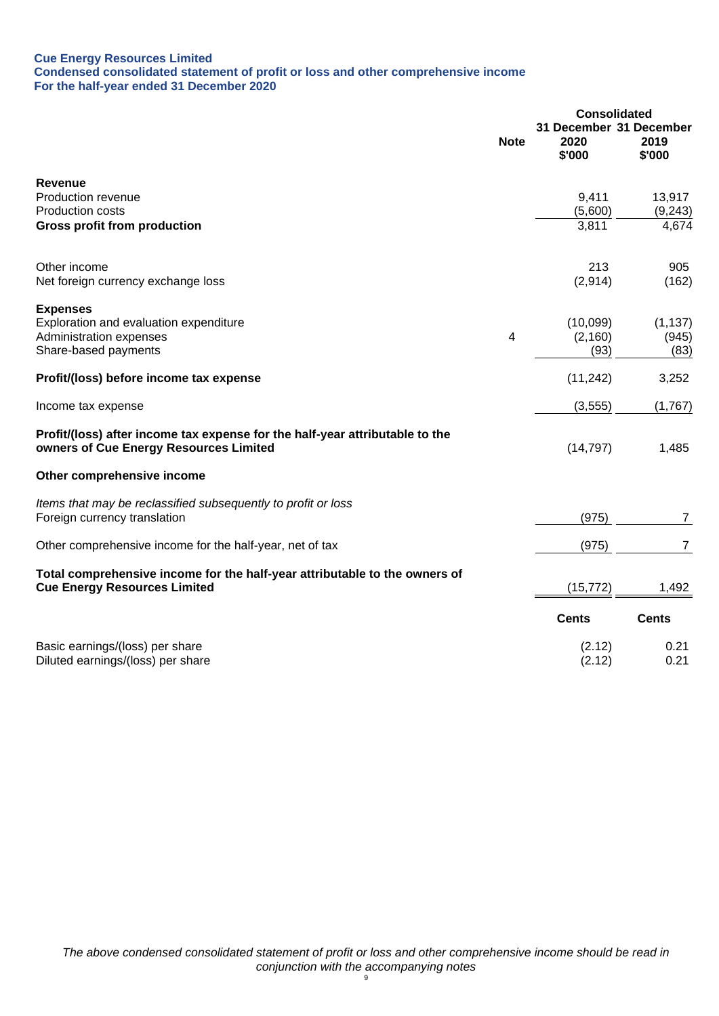#### **Cue Energy Resources Limited Condensed consolidated statement of profit or loss and other comprehensive income For the half-year ended 31 December 2020**

|                                                                                                                        |             | <b>Consolidated</b>                       |                |
|------------------------------------------------------------------------------------------------------------------------|-------------|-------------------------------------------|----------------|
|                                                                                                                        | <b>Note</b> | 31 December 31 December<br>2020<br>\$'000 | 2019<br>\$'000 |
| Revenue                                                                                                                |             |                                           |                |
| Production revenue                                                                                                     |             | 9,411                                     | 13,917         |
| <b>Production costs</b>                                                                                                |             | (5,600)                                   | (9, 243)       |
| <b>Gross profit from production</b>                                                                                    |             | 3,811                                     | 4,674          |
| Other income                                                                                                           |             | 213                                       | 905            |
| Net foreign currency exchange loss                                                                                     |             | (2,914)                                   | (162)          |
| <b>Expenses</b>                                                                                                        |             |                                           |                |
| Exploration and evaluation expenditure                                                                                 |             | (10,099)                                  | (1, 137)       |
| Administration expenses<br>Share-based payments                                                                        | 4           | (2,160)<br>(93)                           | (945)<br>(83)  |
|                                                                                                                        |             |                                           |                |
| Profit/(loss) before income tax expense                                                                                |             | (11, 242)                                 | 3,252          |
| Income tax expense                                                                                                     |             | (3, 555)                                  | (1,767)        |
| Profit/(loss) after income tax expense for the half-year attributable to the<br>owners of Cue Energy Resources Limited |             | (14, 797)                                 | 1,485          |
| Other comprehensive income                                                                                             |             |                                           |                |
| Items that may be reclassified subsequently to profit or loss                                                          |             |                                           |                |
| Foreign currency translation                                                                                           |             | (975)                                     | $\overline{7}$ |
| Other comprehensive income for the half-year, net of tax                                                               |             | (975)                                     | $\overline{7}$ |
| Total comprehensive income for the half-year attributable to the owners of                                             |             |                                           |                |
| <b>Cue Energy Resources Limited</b>                                                                                    |             | (15, 772)                                 | 1,492          |
|                                                                                                                        |             | <b>Cents</b>                              | <b>Cents</b>   |
| Basic earnings/(loss) per share                                                                                        |             | (2.12)                                    | 0.21           |
| Diluted earnings/(loss) per share                                                                                      |             | (2.12)                                    | 0.21           |
|                                                                                                                        |             |                                           |                |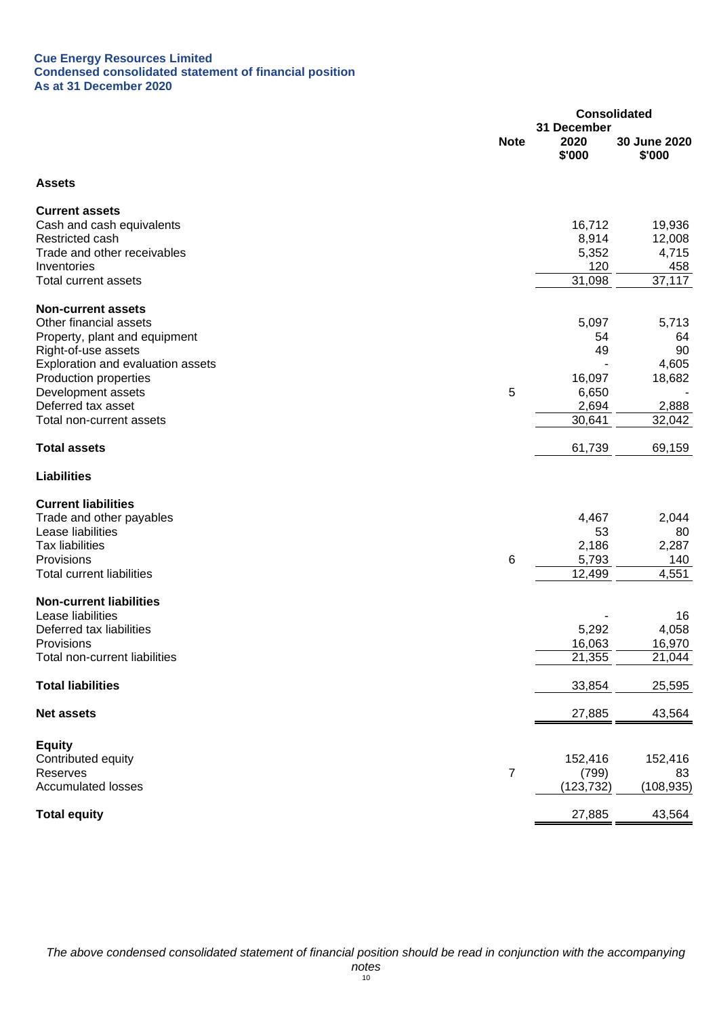#### **Cue Energy Resources Limited Condensed consolidated statement of financial position As at 31 December 2020**

|                                                          |                | <b>Consolidated</b>           |                        |  |
|----------------------------------------------------------|----------------|-------------------------------|------------------------|--|
|                                                          | <b>Note</b>    | 31 December<br>2020<br>\$'000 | 30 June 2020<br>\$'000 |  |
| <b>Assets</b>                                            |                |                               |                        |  |
| <b>Current assets</b>                                    |                |                               |                        |  |
| Cash and cash equivalents                                |                | 16,712                        | 19,936                 |  |
| Restricted cash                                          |                | 8,914                         | 12,008                 |  |
| Trade and other receivables                              |                | 5,352                         | 4,715                  |  |
| Inventories                                              |                | 120                           | 458                    |  |
| <b>Total current assets</b>                              |                | 31,098                        | 37,117                 |  |
| <b>Non-current assets</b>                                |                |                               |                        |  |
| Other financial assets                                   |                | 5,097                         | 5,713                  |  |
| Property, plant and equipment                            |                | 54<br>49                      | 64<br>90               |  |
| Right-of-use assets<br>Exploration and evaluation assets |                |                               | 4,605                  |  |
| Production properties                                    |                | 16,097                        | 18,682                 |  |
| Development assets                                       | 5              | 6,650                         |                        |  |
| Deferred tax asset                                       |                | 2,694                         | 2,888                  |  |
| Total non-current assets                                 |                | 30,641                        | 32,042                 |  |
| <b>Total assets</b>                                      |                | 61,739                        | 69,159                 |  |
| <b>Liabilities</b>                                       |                |                               |                        |  |
| <b>Current liabilities</b>                               |                |                               |                        |  |
| Trade and other payables                                 |                | 4,467                         | 2,044                  |  |
| Lease liabilities                                        |                | 53                            | 80                     |  |
| <b>Tax liabilities</b>                                   |                | 2,186                         | 2,287                  |  |
| Provisions                                               | 6              | 5,793                         | 140                    |  |
| <b>Total current liabilities</b>                         |                | 12,499                        | 4,551                  |  |
| <b>Non-current liabilities</b>                           |                |                               |                        |  |
| Lease liabilities                                        |                |                               | 16                     |  |
| Deferred tax liabilities                                 |                | 5,292                         | 4,058                  |  |
| Provisions                                               |                | 16,063                        | 16,970                 |  |
| Total non-current liabilities                            |                | 21,355                        | 21,044                 |  |
| <b>Total liabilities</b>                                 |                | 33,854                        | 25,595                 |  |
| <b>Net assets</b>                                        |                | 27,885                        | 43,564                 |  |
| <b>Equity</b>                                            |                |                               |                        |  |
| Contributed equity                                       |                | 152,416                       | 152,416                |  |
| Reserves                                                 | $\overline{7}$ | (799)                         | 83                     |  |
| <b>Accumulated losses</b>                                |                | (123, 732)                    | (108, 935)             |  |
| <b>Total equity</b>                                      |                | 27,885                        | 43,564                 |  |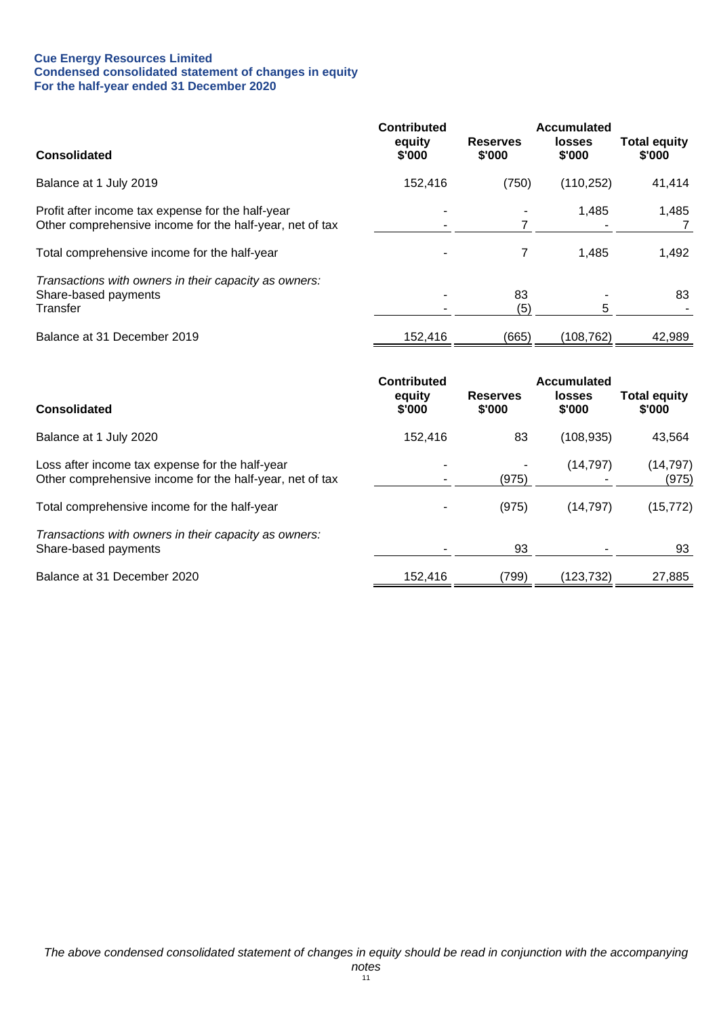#### **Cue Energy Resources Limited Condensed consolidated statement of changes in equity For the half-year ended 31 December 2020**

|                                                                                                               | <b>Contributed</b><br>equity | <b>Reserves</b> | Accumulated<br><b>losses</b> | <b>Total equity</b> |
|---------------------------------------------------------------------------------------------------------------|------------------------------|-----------------|------------------------------|---------------------|
| <b>Consolidated</b>                                                                                           | \$'000                       | \$'000          | \$'000                       | \$'000              |
| Balance at 1 July 2019                                                                                        | 152,416                      | (750)           | (110, 252)                   | 41,414              |
| Profit after income tax expense for the half-year<br>Other comprehensive income for the half-year, net of tax |                              |                 | 1.485                        | 1,485               |
| Total comprehensive income for the half-year                                                                  |                              |                 | 1.485                        | 1,492               |
| Transactions with owners in their capacity as owners:<br>Share-based payments<br>Transfer                     |                              | 83<br>(5)       | 5                            | 83                  |
| Balance at 31 December 2019                                                                                   | 152,416                      | (665)           | (108, 762)                   | 42,989              |

| <b>Consolidated</b>                                                                                         | <b>Contributed</b><br>equity<br>\$'000 | <b>Reserves</b><br>\$'000 | Accumulated<br>losses<br>\$'000 | <b>Total equity</b><br>\$'000 |
|-------------------------------------------------------------------------------------------------------------|----------------------------------------|---------------------------|---------------------------------|-------------------------------|
| Balance at 1 July 2020                                                                                      | 152,416                                | 83                        | (108, 935)                      | 43,564                        |
| Loss after income tax expense for the half-year<br>Other comprehensive income for the half-year, net of tax |                                        | (975)                     | (14,797)                        | (14, 797)<br>(975)            |
| Total comprehensive income for the half-year                                                                |                                        | (975)                     | (14, 797)                       | (15, 772)                     |
| Transactions with owners in their capacity as owners:<br>Share-based payments                               |                                        | 93                        |                                 | 93                            |
| Balance at 31 December 2020                                                                                 | 152,416                                | (799)                     | (123,732)                       | 27,885                        |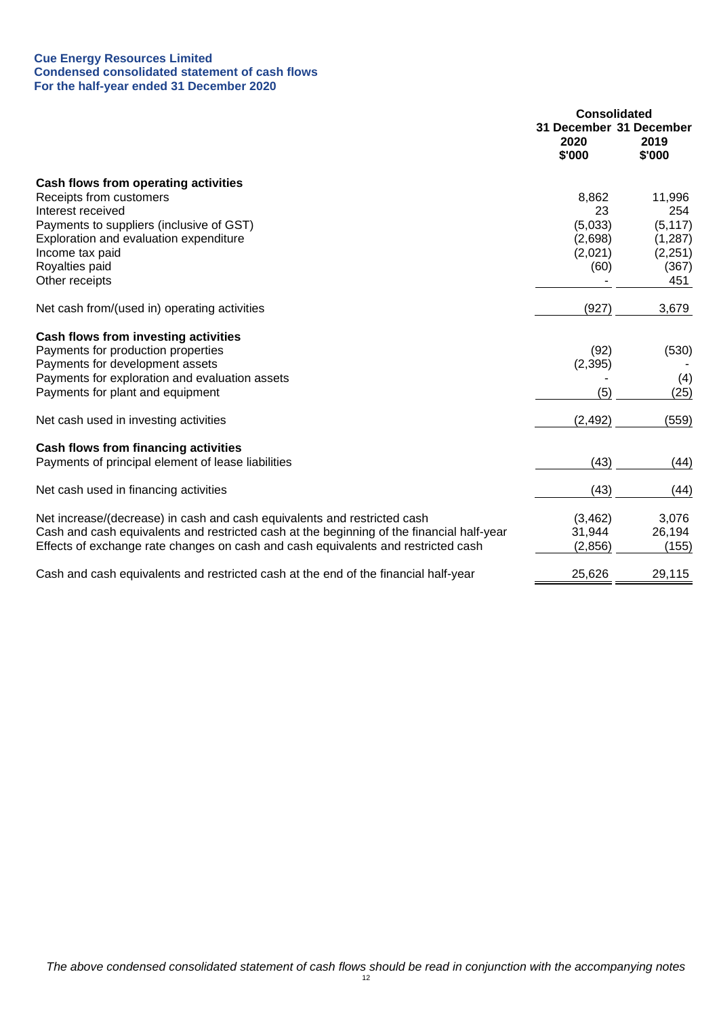#### **Cue Energy Resources Limited Condensed consolidated statement of cash flows For the half-year ended 31 December 2020**

|                                                                                           | <b>Consolidated</b>                       |                |
|-------------------------------------------------------------------------------------------|-------------------------------------------|----------------|
|                                                                                           | 31 December 31 December<br>2020<br>\$'000 | 2019<br>\$'000 |
|                                                                                           |                                           |                |
| Cash flows from operating activities                                                      |                                           |                |
| Receipts from customers                                                                   | 8,862                                     | 11,996         |
| Interest received                                                                         | 23                                        | 254            |
| Payments to suppliers (inclusive of GST)                                                  | (5,033)                                   | (5, 117)       |
| Exploration and evaluation expenditure                                                    | (2,698)                                   | (1, 287)       |
| Income tax paid                                                                           | (2,021)                                   | (2, 251)       |
| Royalties paid                                                                            | (60)                                      | (367)          |
| Other receipts                                                                            |                                           | 451            |
| Net cash from/(used in) operating activities                                              | (927)                                     | 3,679          |
| Cash flows from investing activities                                                      |                                           |                |
| Payments for production properties                                                        | (92)                                      | (530)          |
| Payments for development assets                                                           | (2, 395)                                  |                |
| Payments for exploration and evaluation assets                                            |                                           | (4)            |
| Payments for plant and equipment                                                          | (5)                                       | (25)           |
| Net cash used in investing activities                                                     | (2, 492)                                  | (559)          |
| <b>Cash flows from financing activities</b>                                               |                                           |                |
| Payments of principal element of lease liabilities                                        | (43)                                      | (44)           |
| Net cash used in financing activities                                                     | (43)                                      | (44)           |
| Net increase/(decrease) in cash and cash equivalents and restricted cash                  | (3,462)                                   | 3,076          |
| Cash and cash equivalents and restricted cash at the beginning of the financial half-year | 31,944                                    | 26,194         |
| Effects of exchange rate changes on cash and cash equivalents and restricted cash         | (2,856)                                   | (155)          |
|                                                                                           |                                           |                |
| Cash and cash equivalents and restricted cash at the end of the financial half-year       | 25,626                                    | 29,115         |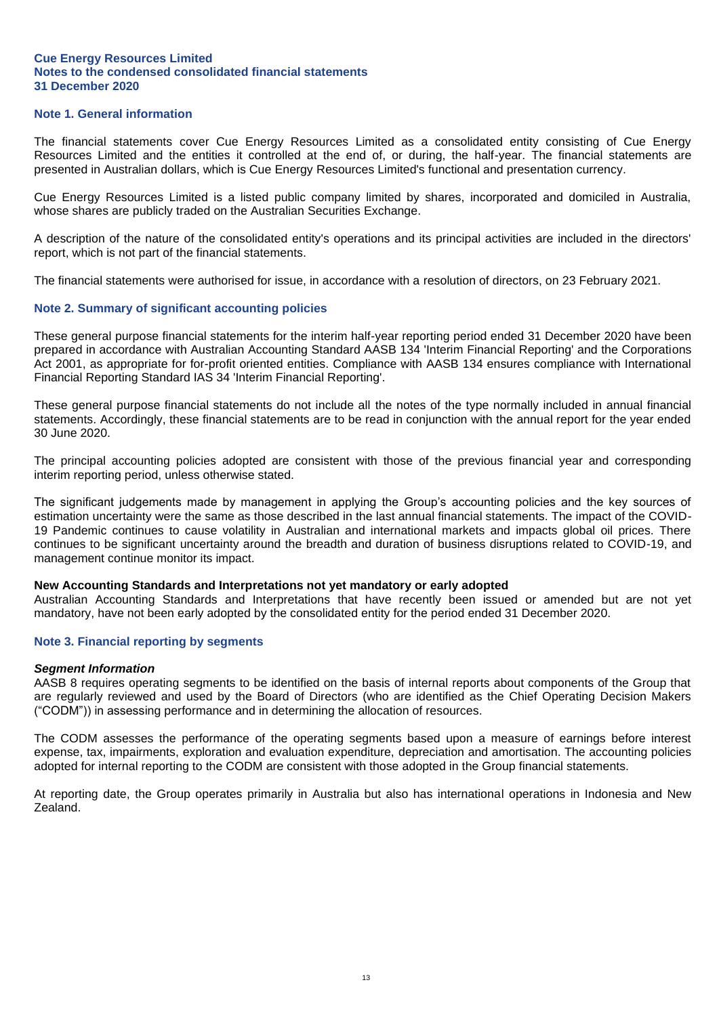#### **Note 1. General information**

The financial statements cover Cue Energy Resources Limited as a consolidated entity consisting of Cue Energy Resources Limited and the entities it controlled at the end of, or during, the half-year. The financial statements are presented in Australian dollars, which is Cue Energy Resources Limited's functional and presentation currency.

Cue Energy Resources Limited is a listed public company limited by shares, incorporated and domiciled in Australia, whose shares are publicly traded on the Australian Securities Exchange.

A description of the nature of the consolidated entity's operations and its principal activities are included in the directors' report, which is not part of the financial statements.

The financial statements were authorised for issue, in accordance with a resolution of directors, on 23 February 2021.

#### **Note 2. Summary of significant accounting policies**

These general purpose financial statements for the interim half-year reporting period ended 31 December 2020 have been prepared in accordance with Australian Accounting Standard AASB 134 'Interim Financial Reporting' and the Corporations Act 2001, as appropriate for for-profit oriented entities. Compliance with AASB 134 ensures compliance with International Financial Reporting Standard IAS 34 'Interim Financial Reporting'.

These general purpose financial statements do not include all the notes of the type normally included in annual financial statements. Accordingly, these financial statements are to be read in conjunction with the annual report for the year ended 30 June 2020.

The principal accounting policies adopted are consistent with those of the previous financial year and corresponding interim reporting period, unless otherwise stated.

The significant judgements made by management in applying the Group's accounting policies and the key sources of estimation uncertainty were the same as those described in the last annual financial statements. The impact of the COVID-19 Pandemic continues to cause volatility in Australian and international markets and impacts global oil prices. There continues to be significant uncertainty around the breadth and duration of business disruptions related to COVID-19, and management continue monitor its impact.

#### **New Accounting Standards and Interpretations not yet mandatory or early adopted**

Australian Accounting Standards and Interpretations that have recently been issued or amended but are not yet mandatory, have not been early adopted by the consolidated entity for the period ended 31 December 2020.

#### **Note 3. Financial reporting by segments**

#### *Segment Information*

AASB 8 requires operating segments to be identified on the basis of internal reports about components of the Group that are regularly reviewed and used by the Board of Directors (who are identified as the Chief Operating Decision Makers ("CODM")) in assessing performance and in determining the allocation of resources.

The CODM assesses the performance of the operating segments based upon a measure of earnings before interest expense, tax, impairments, exploration and evaluation expenditure, depreciation and amortisation. The accounting policies adopted for internal reporting to the CODM are consistent with those adopted in the Group financial statements.

At reporting date, the Group operates primarily in Australia but also has international operations in Indonesia and New Zealand.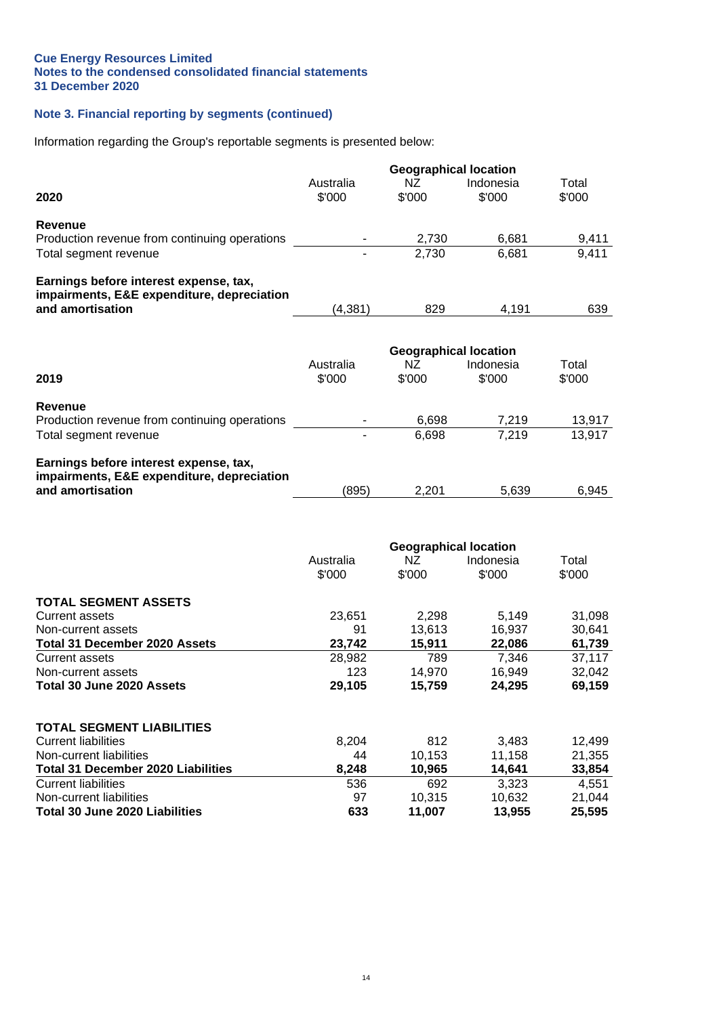#### **Note 3. Financial reporting by segments (continued)**

**Total 30 June 2020 Liabilities 633 11,007 13,955 25,595**

Information regarding the Group's reportable segments is presented below:

|                                               |           | <b>Geographical location</b> |           |        |
|-----------------------------------------------|-----------|------------------------------|-----------|--------|
|                                               | Australia | ΝZ                           | Indonesia | Total  |
| 2020                                          | \$'000    | \$'000                       | \$'000    | \$'000 |
| Revenue                                       |           |                              |           |        |
| Production revenue from continuing operations |           | 2,730                        | 6,681     | 9,411  |
| Total segment revenue                         |           | 2.730                        | 6,681     | 9,411  |
| Earnings before interest expense, tax,        |           |                              |           |        |
| impairments, E&E expenditure, depreciation    |           |                              |           |        |
| and amortisation                              | (4, 381)  | 829                          | 4,191     | 639    |
|                                               |           |                              |           |        |
|                                               |           | <b>Geographical location</b> |           |        |
|                                               | Australia | ΝZ                           | Indonesia | Total  |
| 2019                                          | \$'000    | \$'000                       | \$'000    | \$'000 |
| <b>Revenue</b>                                |           |                              |           |        |
| Production revenue from continuing operations |           | 6,698                        | 7,219     | 13,917 |
| Total segment revenue                         |           | 6,698                        | 7,219     | 13,917 |
| Earnings before interest expense, tax,        |           |                              |           |        |
| impairments, E&E expenditure, depreciation    |           |                              |           |        |
| and amortisation                              | (895)     | 2,201                        | 5,639     | 6,945  |
|                                               |           |                              |           |        |
|                                               |           |                              |           |        |
|                                               |           | <b>Geographical location</b> |           |        |
|                                               | Australia | ΝZ                           | Indonesia | Total  |
|                                               | \$'000    | \$'000                       | \$'000    | \$'000 |
| <b>TOTAL SEGMENT ASSETS</b>                   |           |                              |           |        |
| <b>Current assets</b>                         | 23,651    | 2,298                        | 5,149     | 31,098 |
| Non-current assets                            | 91        | 13,613                       | 16,937    | 30,641 |
| <b>Total 31 December 2020 Assets</b>          | 23,742    | 15,911                       | 22,086    | 61,739 |
| <b>Current assets</b>                         | 28,982    | 789                          | 7,346     | 37,117 |
| Non-current assets                            | 123       | 14,970                       | 16,949    | 32,042 |
| Total 30 June 2020 Assets                     | 29,105    | 15,759                       | 24,295    | 69,159 |
|                                               |           |                              |           |        |
| TOTAL SEGMENT LIABILITIES                     |           |                              |           |        |
| <b>Current liabilities</b>                    | 8,204     | 812                          | 3,483     | 12,499 |
| Non-current liabilities                       | 44        | 10,153                       | 11,158    | 21,355 |
| <b>Total 31 December 2020 Liabilities</b>     | 8,248     | 10,965                       | 14,641    | 33,854 |
| <b>Current liabilities</b>                    | 536       | 692                          | 3,323     | 4,551  |

Non-current liabilities<br>
Total 30 June 2020 Liabilities<br>
Total 30 June 2020 Liabilities<br>
25,595<br>
25,595<br>
25,595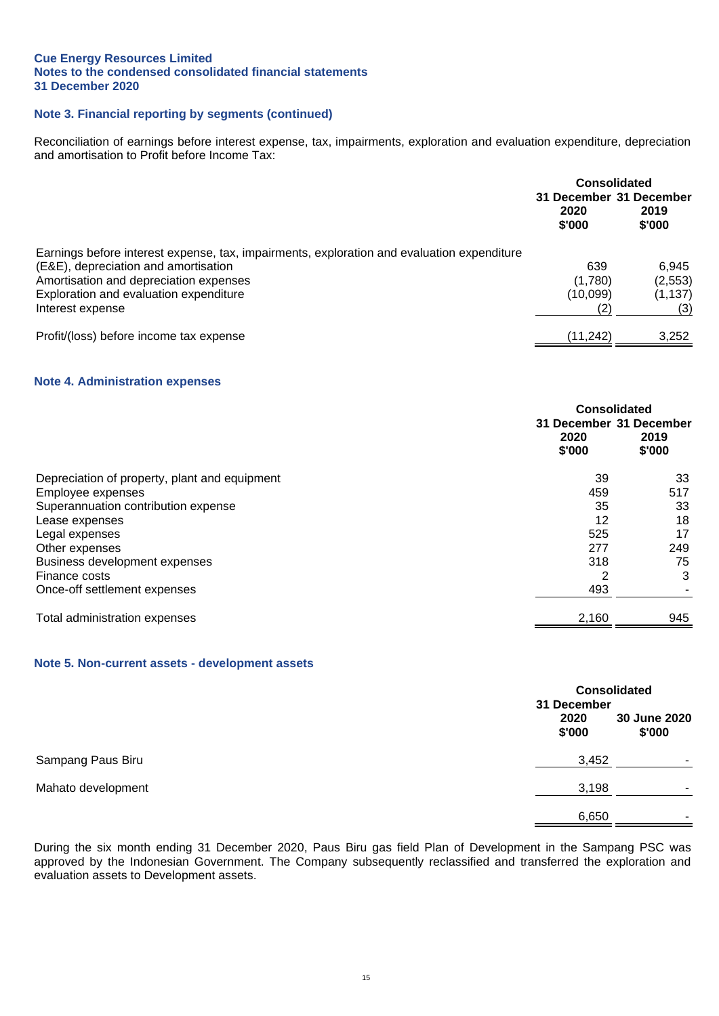#### **Note 3. Financial reporting by segments (continued)**

Reconciliation of earnings before interest expense, tax, impairments, exploration and evaluation expenditure, depreciation and amortisation to Profit before Income Tax:

|                                                                                            | <b>Consolidated</b>     |                |
|--------------------------------------------------------------------------------------------|-------------------------|----------------|
|                                                                                            | 31 December 31 December |                |
|                                                                                            | 2020<br>\$'000          | 2019<br>\$'000 |
| Earnings before interest expense, tax, impairments, exploration and evaluation expenditure |                         |                |
| (E&E), depreciation and amortisation                                                       | 639                     | 6.945          |
| Amortisation and depreciation expenses                                                     | (1,780)                 | (2, 553)       |
| Exploration and evaluation expenditure                                                     | (10,099)                | (1, 137)       |
| Interest expense                                                                           | (2                      | (3)            |
| Profit/(loss) before income tax expense                                                    | (11,242)                | 3,252          |

#### **Note 4. Administration expenses**

|                                               | Consolidated<br>2020<br>\$'000 | 31 December 31 December<br>2019<br>\$'000 |
|-----------------------------------------------|--------------------------------|-------------------------------------------|
| Depreciation of property, plant and equipment | 39                             | 33                                        |
| Employee expenses                             | 459                            | 517                                       |
| Superannuation contribution expense           | 35                             | 33                                        |
| Lease expenses                                | 12                             | 18                                        |
| Legal expenses                                | 525                            | 17                                        |
| Other expenses                                | 277                            | 249                                       |
| Business development expenses                 | 318                            | 75                                        |
| Finance costs                                 | 2                              | 3                                         |
| Once-off settlement expenses                  | 493                            |                                           |
| Total administration expenses                 | 2,160                          | 945                                       |

#### **Note 5. Non-current assets - development assets**

|                    | 31 December    | <b>Consolidated</b>    |  |
|--------------------|----------------|------------------------|--|
|                    | 2020<br>\$'000 | 30 June 2020<br>\$'000 |  |
| Sampang Paus Biru  | 3,452          |                        |  |
| Mahato development | 3,198          | ۰                      |  |
|                    | 6,650          | -                      |  |

During the six month ending 31 December 2020, Paus Biru gas field Plan of Development in the Sampang PSC was approved by the Indonesian Government. The Company subsequently reclassified and transferred the exploration and evaluation assets to Development assets.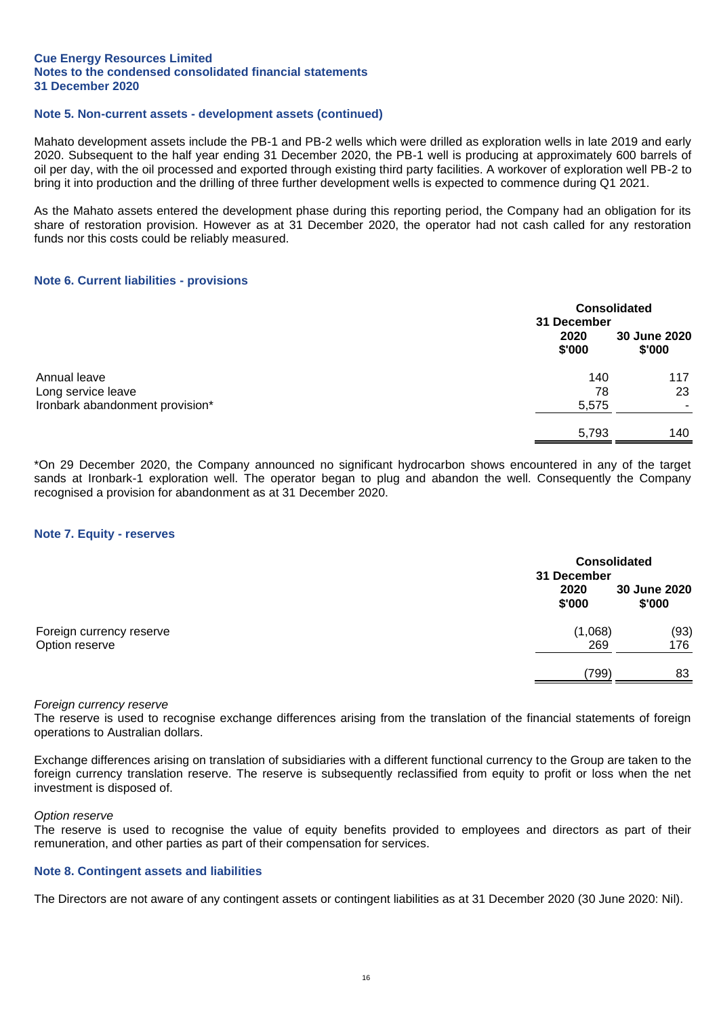#### **Note 5. Non-current assets - development assets (continued)**

Mahato development assets include the PB-1 and PB-2 wells which were drilled as exploration wells in late 2019 and early 2020. Subsequent to the half year ending 31 December 2020, the PB-1 well is producing at approximately 600 barrels of oil per day, with the oil processed and exported through existing third party facilities. A workover of exploration well PB-2 to bring it into production and the drilling of three further development wells is expected to commence during Q1 2021.

As the Mahato assets entered the development phase during this reporting period, the Company had an obligation for its share of restoration provision. However as at 31 December 2020, the operator had not cash called for any restoration funds nor this costs could be reliably measured.

#### **Note 6. Current liabilities - provisions**

|                                                       | 31 December    | <b>Consolidated</b>    |  |
|-------------------------------------------------------|----------------|------------------------|--|
|                                                       | 2020<br>\$'000 | 30 June 2020<br>\$'000 |  |
| Annual leave                                          | 140            | 117                    |  |
| Long service leave<br>Ironbark abandonment provision* | 78<br>5,575    | 23                     |  |
|                                                       | 5,793          | 140                    |  |

\*On 29 December 2020, the Company announced no significant hydrocarbon shows encountered in any of the target sands at Ironbark-1 exploration well. The operator began to plug and abandon the well. Consequently the Company recognised a provision for abandonment as at 31 December 2020.

#### **Note 7. Equity - reserves**

|                                            | 31 December    | <b>Consolidated</b>    |  |
|--------------------------------------------|----------------|------------------------|--|
|                                            | 2020<br>\$'000 | 30 June 2020<br>\$'000 |  |
| Foreign currency reserve<br>Option reserve | (1,068)<br>269 | (93)<br>176            |  |
|                                            | (799)          | 83                     |  |

#### *Foreign currency reserve*

The reserve is used to recognise exchange differences arising from the translation of the financial statements of foreign operations to Australian dollars.

Exchange differences arising on translation of subsidiaries with a different functional currency to the Group are taken to the foreign currency translation reserve. The reserve is subsequently reclassified from equity to profit or loss when the net investment is disposed of.

#### *Option reserve*

The reserve is used to recognise the value of equity benefits provided to employees and directors as part of their remuneration, and other parties as part of their compensation for services.

#### **Note 8. Contingent assets and liabilities**

The Directors are not aware of any contingent assets or contingent liabilities as at 31 December 2020 (30 June 2020: Nil).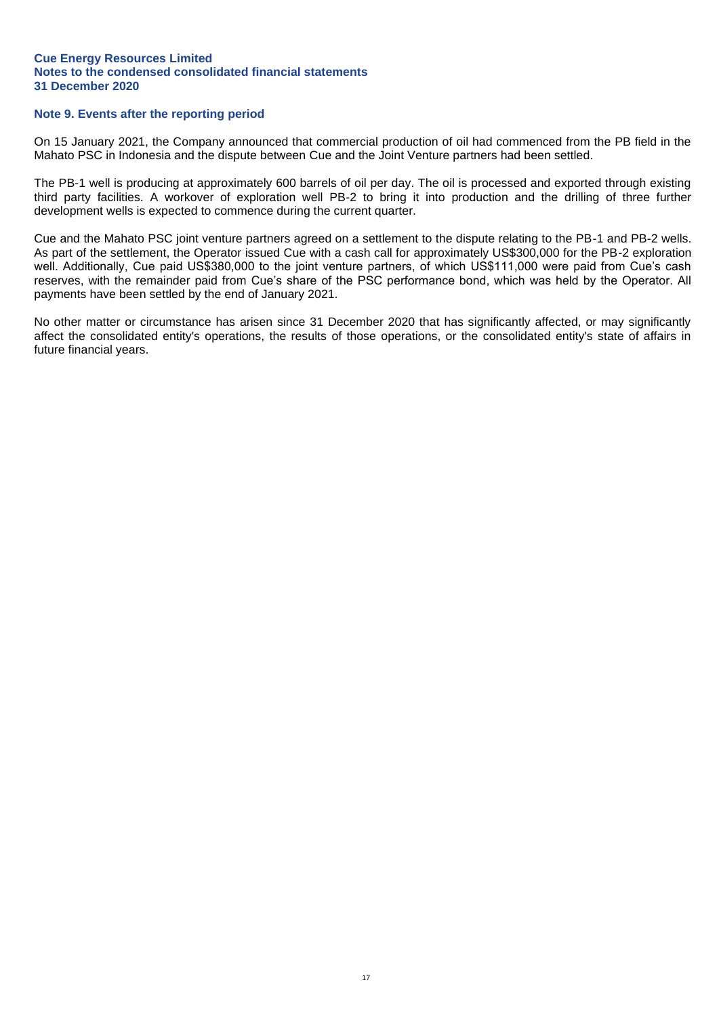#### **Note 9. Events after the reporting period**

On 15 January 2021, the Company announced that commercial production of oil had commenced from the PB field in the Mahato PSC in Indonesia and the dispute between Cue and the Joint Venture partners had been settled.

The PB-1 well is producing at approximately 600 barrels of oil per day. The oil is processed and exported through existing third party facilities. A workover of exploration well PB-2 to bring it into production and the drilling of three further development wells is expected to commence during the current quarter.

Cue and the Mahato PSC joint venture partners agreed on a settlement to the dispute relating to the PB-1 and PB-2 wells. As part of the settlement, the Operator issued Cue with a cash call for approximately US\$300,000 for the PB-2 exploration well. Additionally, Cue paid US\$380,000 to the joint venture partners, of which US\$111,000 were paid from Cue's cash reserves, with the remainder paid from Cue's share of the PSC performance bond, which was held by the Operator. All payments have been settled by the end of January 2021.

No other matter or circumstance has arisen since 31 December 2020 that has significantly affected, or may significantly affect the consolidated entity's operations, the results of those operations, or the consolidated entity's state of affairs in future financial years.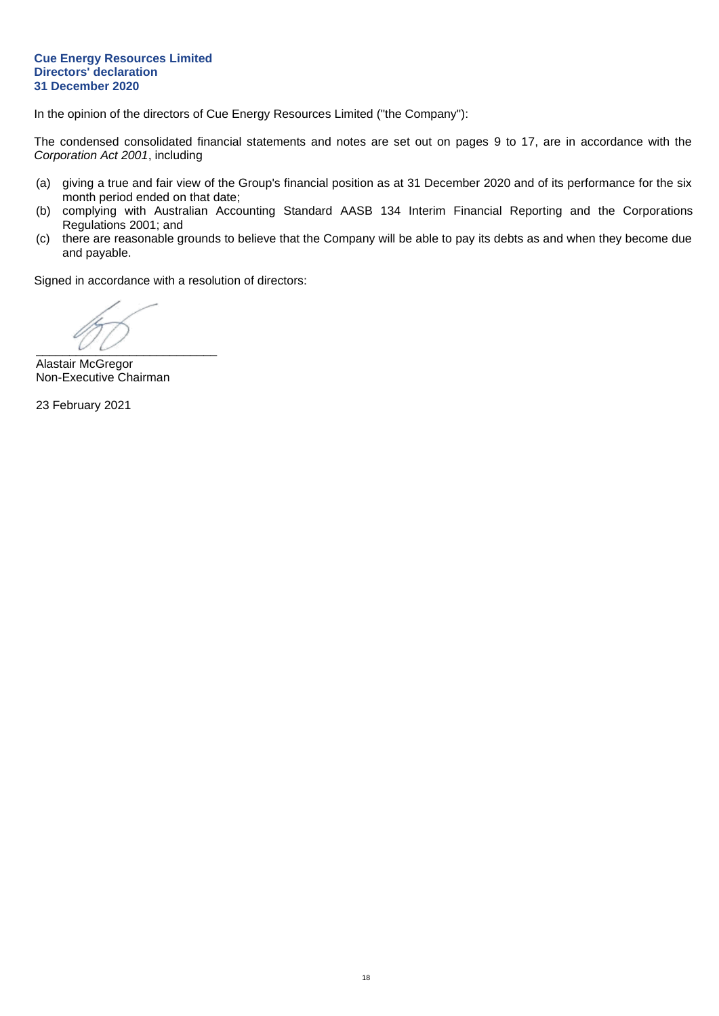#### **Cue Energy Resources Limited Directors' declaration 31 December 2020**

In the opinion of the directors of Cue Energy Resources Limited ("the Company"):

The condensed consolidated financial statements and notes are set out on pages 9 to 17, are in accordance with the *Corporation Act 2001*, including

- (a) giving a true and fair view of the Group's financial position as at 31 December 2020 and of its performance for the six month period ended on that date;
- (b) complying with Australian Accounting Standard AASB 134 Interim Financial Reporting and the Corporations Regulations 2001; and
- (c) there are reasonable grounds to believe that the Company will be able to pay its debts as and when they become due and payable.

Signed in accordance with a resolution of directors:

 $\overline{\phantom{a}}$   $\overline{\phantom{a}}$   $\overline{\phantom{a}}$   $\overline{\phantom{a}}$   $\overline{\phantom{a}}$   $\overline{\phantom{a}}$   $\overline{\phantom{a}}$   $\overline{\phantom{a}}$   $\overline{\phantom{a}}$   $\overline{\phantom{a}}$   $\overline{\phantom{a}}$   $\overline{\phantom{a}}$   $\overline{\phantom{a}}$   $\overline{\phantom{a}}$   $\overline{\phantom{a}}$   $\overline{\phantom{a}}$   $\overline{\phantom{a}}$   $\overline{\phantom{a}}$   $\overline{\$ 

Alastair McGregor Non-Executive Chairman

23 February 2021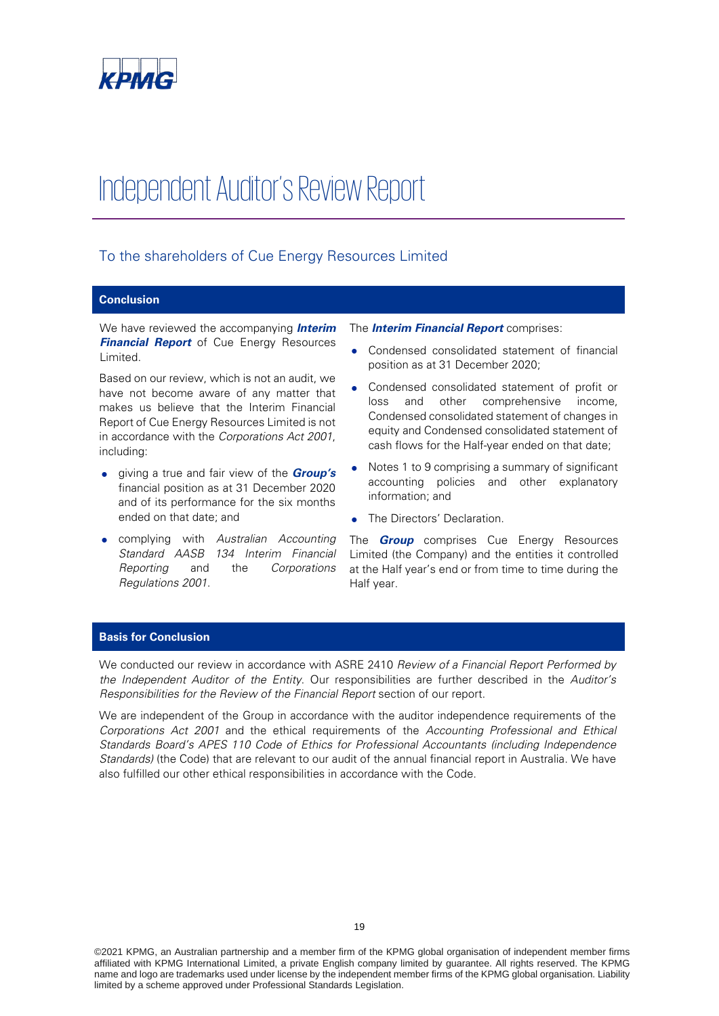

# Independent Auditor's Review Report

#### To the shareholders of Cue Energy Resources Limited

#### **Conclusion**

We have reviewed the accompanying **Interim Financial Report** of Cue Energy Resources Limited.

Based on our review, which is not an audit, we have not become aware of any matter that makes us believe that the Interim Financial Report of Cue Energy Resources Limited is not in accordance with the Corporations Act 2001, including:

- giving a true and fair view of the **Group's** financial position as at 31 December 2020 and of its performance for the six months ended on that date; and
- complying with Australian Accounting Standard AASB 134 Interim Financial Reporting and the Corporations Regulations 2001.

#### The **Interim Financial Report** comprises:

- Condensed consolidated statement of financial position as at 31 December 2020;
- Condensed consolidated statement of profit or loss and other comprehensive income, Condensed consolidated statement of changes in equity and Condensed consolidated statement of cash flows for the Half-year ended on that date;
- Notes 1 to 9 comprising a summary of significant accounting policies and other explanatory information; and
- The Directors' Declaration.

The **Group** comprises Cue Energy Resources Limited (the Company) and the entities it controlled at the Half year's end or from time to time during the Half year.

#### **Basis for Conclusion**

We conducted our review in accordance with ASRE 2410 Review of a Financial Report Performed by the Independent Auditor of the Entity. Our responsibilities are further described in the Auditor's Responsibilities for the Review of the Financial Report section of our report.

We are independent of the Group in accordance with the auditor independence requirements of the Corporations Act 2001 and the ethical requirements of the Accounting Professional and Ethical Standards Board's APES 110 Code of Ethics for Professional Accountants (including Independence Standards) (the Code) that are relevant to our audit of the annual financial report in Australia. We have also fulfilled our other ethical responsibilities in accordance with the Code.